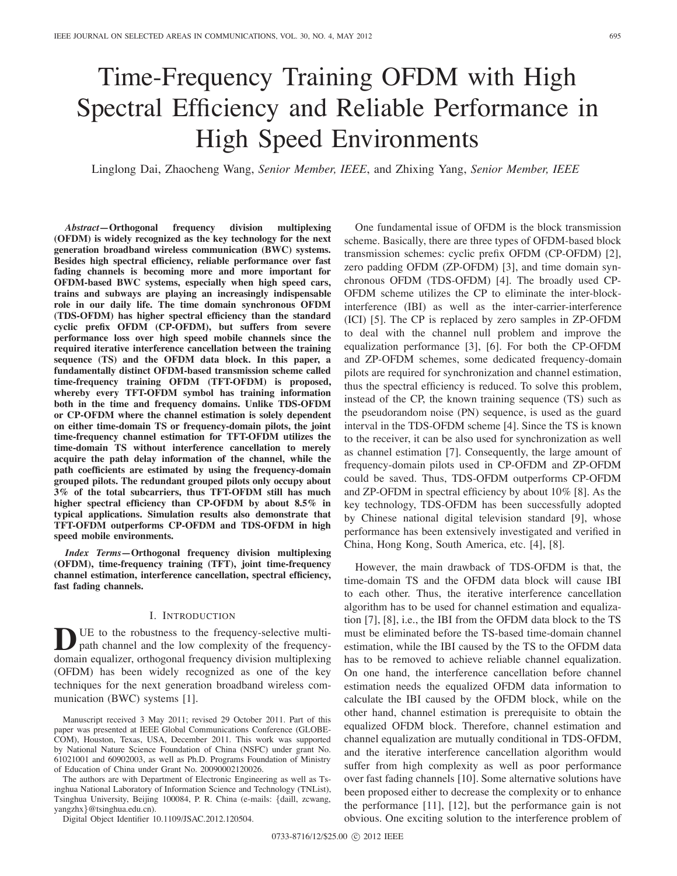# Time-Frequency Training OFDM with High Spectral Efficiency and Reliable Performance in High Speed Environments

Linglong Dai, Zhaocheng Wang, *Senior Member, IEEE*, and Zhixing Yang, *Senior Member, IEEE*

*Abstract***—Orthogonal frequency division multiplexing (OFDM) is widely recognized as the key technology for the next generation broadband wireless communication (BWC) systems. Besides high spectral efficiency, reliable performance over fast fading channels is becoming more and more important for OFDM-based BWC systems, especially when high speed cars, trains and subways are playing an increasingly indispensable role in our daily life. The time domain synchronous OFDM (TDS-OFDM) has higher spectral efficiency than the standard cyclic prefix OFDM (CP-OFDM), but suffers from severe performance loss over high speed mobile channels since the required iterative interference cancellation between the training sequence (TS) and the OFDM data block. In this paper, a fundamentally distinct OFDM-based transmission scheme called time-frequency training OFDM (TFT-OFDM) is proposed, whereby every TFT-OFDM symbol has training information both in the time and frequency domains. Unlike TDS-OFDM or CP-OFDM where the channel estimation is solely dependent on either time-domain TS or frequency-domain pilots, the joint time-frequency channel estimation for TFT-OFDM utilizes the time-domain TS without interference cancellation to merely acquire the path delay information of the channel, while the path coefficients are estimated by using the frequency-domain grouped pilots. The redundant grouped pilots only occupy about 3% of the total subcarriers, thus TFT-OFDM still has much higher spectral efficiency than CP-OFDM by about 8.5% in typical applications. Simulation results also demonstrate that TFT-OFDM outperforms CP-OFDM and TDS-OFDM in high speed mobile environments.**

*Index Terms***—Orthogonal frequency division multiplexing (OFDM), time-frequency training (TFT), joint time-frequency channel estimation, interference cancellation, spectral efficiency, fast fading channels.**

# I. INTRODUCTION

**D**UE to the robustness to the frequency-selective multi-<br>nath channel and the 1 path channel and the low complexity of the frequencydomain equalizer, orthogonal frequency division multiplexing (OFDM) has been widely recognized as one of the key techniques for the next generation broadband wireless communication (BWC) systems [1].

The authors are with Department of Electronic Engineering as well as Tsinghua National Laboratory of Information Science and Technology (TNList), Tsinghua University, Beijing 100084, P. R. China (e-mails: {daill, zcwang, yangzhx}@tsinghua.edu.cn).

Digital Object Identifier 10.1109/JSAC.2012.120504.

One fundamental issue of OFDM is the block transmission scheme. Basically, there are three types of OFDM-based block transmission schemes: cyclic prefix OFDM (CP-OFDM) [2], zero padding OFDM (ZP-OFDM) [3], and time domain synchronous OFDM (TDS-OFDM) [4]. The broadly used CP-OFDM scheme utilizes the CP to eliminate the inter-blockinterference (IBI) as well as the inter-carrier-interference (ICI) [5]. The CP is replaced by zero samples in ZP-OFDM to deal with the channel null problem and improve the equalization performance [3], [6]. For both the CP-OFDM and ZP-OFDM schemes, some dedicated frequency-domain pilots are required for synchronization and channel estimation, thus the spectral efficiency is reduced. To solve this problem, instead of the CP, the known training sequence (TS) such as the pseudorandom noise (PN) sequence, is used as the guard interval in the TDS-OFDM scheme [4]. Since the TS is known to the receiver, it can be also used for synchronization as well as channel estimation [7]. Consequently, the large amount of frequency-domain pilots used in CP-OFDM and ZP-OFDM could be saved. Thus, TDS-OFDM outperforms CP-OFDM and ZP-OFDM in spectral efficiency by about 10% [8]. As the key technology, TDS-OFDM has been successfully adopted by Chinese national digital television standard [9], whose performance has been extensively investigated and verified in China, Hong Kong, South America, etc. [4], [8].

However, the main drawback of TDS-OFDM is that, the time-domain TS and the OFDM data block will cause IBI to each other. Thus, the iterative interference cancellation algorithm has to be used for channel estimation and equalization [7], [8], i.e., the IBI from the OFDM data block to the TS must be eliminated before the TS-based time-domain channel estimation, while the IBI caused by the TS to the OFDM data has to be removed to achieve reliable channel equalization. On one hand, the interference cancellation before channel estimation needs the equalized OFDM data information to calculate the IBI caused by the OFDM block, while on the other hand, channel estimation is prerequisite to obtain the equalized OFDM block. Therefore, channel estimation and channel equalization are mutually conditional in TDS-OFDM, and the iterative interference cancellation algorithm would suffer from high complexity as well as poor performance over fast fading channels [10]. Some alternative solutions have been proposed either to decrease the complexity or to enhance the performance [11], [12], but the performance gain is not obvious. One exciting solution to the interference problem of

Manuscript received 3 May 2011; revised 29 October 2011. Part of this paper was presented at IEEE Global Communications Conference (GLOBE-COM), Houston, Texas, USA, December 2011. This work was supported by National Nature Science Foundation of China (NSFC) under grant No. 61021001 and 60902003, as well as Ph.D. Programs Foundation of Ministry of Education of China under Grant No. 20090002120026.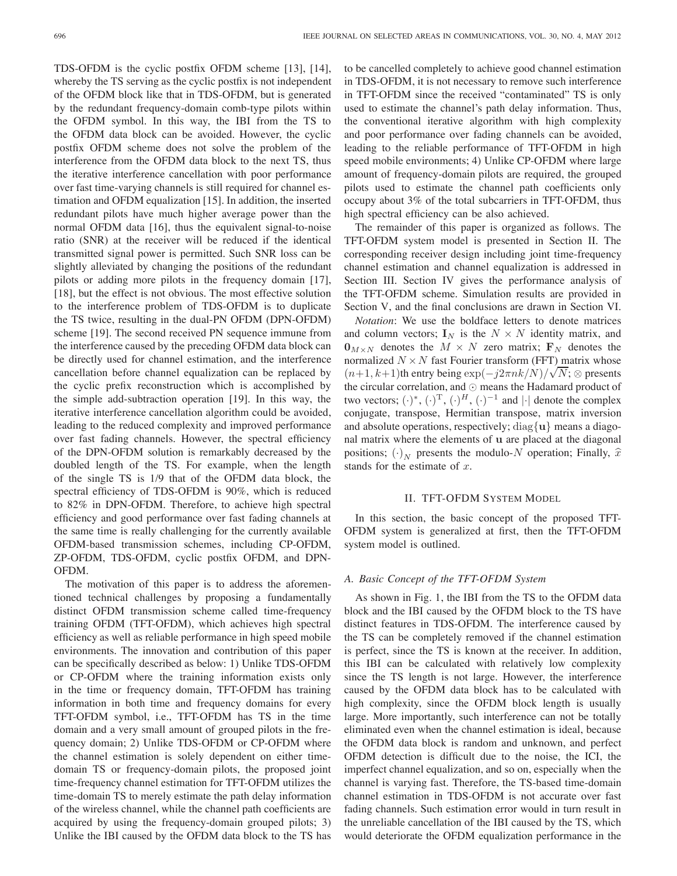TDS-OFDM is the cyclic postfix OFDM scheme [13], [14], whereby the TS serving as the cyclic postfix is not independent of the OFDM block like that in TDS-OFDM, but is generated by the redundant frequency-domain comb-type pilots within the OFDM symbol. In this way, the IBI from the TS to the OFDM data block can be avoided. However, the cyclic postfix OFDM scheme does not solve the problem of the interference from the OFDM data block to the next TS, thus the iterative interference cancellation with poor performance over fast time-varying channels is still required for channel estimation and OFDM equalization [15]. In addition, the inserted redundant pilots have much higher average power than the normal OFDM data [16], thus the equivalent signal-to-noise ratio (SNR) at the receiver will be reduced if the identical transmitted signal power is permitted. Such SNR loss can be slightly alleviated by changing the positions of the redundant pilots or adding more pilots in the frequency domain [17], [18], but the effect is not obvious. The most effective solution to the interference problem of TDS-OFDM is to duplicate the TS twice, resulting in the dual-PN OFDM (DPN-OFDM) scheme [19]. The second received PN sequence immune from the interference caused by the preceding OFDM data block can be directly used for channel estimation, and the interference cancellation before channel equalization can be replaced by the cyclic prefix reconstruction which is accomplished by the simple add-subtraction operation [19]. In this way, the iterative interference cancellation algorithm could be avoided, leading to the reduced complexity and improved performance over fast fading channels. However, the spectral efficiency of the DPN-OFDM solution is remarkably decreased by the doubled length of the TS. For example, when the length of the single TS is 1/9 that of the OFDM data block, the spectral efficiency of TDS-OFDM is 90%, which is reduced to 82% in DPN-OFDM. Therefore, to achieve high spectral efficiency and good performance over fast fading channels at the same time is really challenging for the currently available OFDM-based transmission schemes, including CP-OFDM, ZP-OFDM, TDS-OFDM, cyclic postfix OFDM, and DPN-OFDM.

The motivation of this paper is to address the aforementioned technical challenges by proposing a fundamentally distinct OFDM transmission scheme called time-frequency training OFDM (TFT-OFDM), which achieves high spectral efficiency as well as reliable performance in high speed mobile environments. The innovation and contribution of this paper can be specifically described as below: 1) Unlike TDS-OFDM or CP-OFDM where the training information exists only in the time or frequency domain, TFT-OFDM has training information in both time and frequency domains for every TFT-OFDM symbol, i.e., TFT-OFDM has TS in the time domain and a very small amount of grouped pilots in the frequency domain; 2) Unlike TDS-OFDM or CP-OFDM where the channel estimation is solely dependent on either timedomain TS or frequency-domain pilots, the proposed joint time-frequency channel estimation for TFT-OFDM utilizes the time-domain TS to merely estimate the path delay information of the wireless channel, while the channel path coefficients are acquired by using the frequency-domain grouped pilots; 3) Unlike the IBI caused by the OFDM data block to the TS has

to be cancelled completely to achieve good channel estimation in TDS-OFDM, it is not necessary to remove such interference in TFT-OFDM since the received "contaminated" TS is only used to estimate the channel's path delay information. Thus, the conventional iterative algorithm with high complexity and poor performance over fading channels can be avoided, leading to the reliable performance of TFT-OFDM in high speed mobile environments; 4) Unlike CP-OFDM where large amount of frequency-domain pilots are required, the grouped pilots used to estimate the channel path coefficients only occupy about 3% of the total subcarriers in TFT-OFDM, thus high spectral efficiency can be also achieved.

The remainder of this paper is organized as follows. The TFT-OFDM system model is presented in Section II. The corresponding receiver design including joint time-frequency channel estimation and channel equalization is addressed in Section III. Section IV gives the performance analysis of the TFT-OFDM scheme. Simulation results are provided in Section V, and the final conclusions are drawn in Section VI.

*Notation*: We use the boldface letters to denote matrices and column vectors;  $\mathbf{I}_N$  is the  $N \times N$  identity matrix, and  $\mathbf{0}_{M \times N}$  denotes the  $M \times N$  zero matrix;  $\mathbf{F}_N$  denotes the normalized  $N \times N$  fast Fourier transform (FFT) matrix whose  $(n+1, k+1)$ th entry being  $\exp(-j2\pi n k/N)/\sqrt{N}$ ; ⊗ presents the circular correlation, and  $\odot$  means the Hadamard product of two vectors;  $(\cdot)^*, (\cdot)^T, (\cdot)^H, (\cdot)^{-1}$  and  $|\cdot|$  denote the complex conjugate, transpose, Hermitian transpose, matrix inversion and absolute operations, respectively; diag{**u**} means a diagonal matrix where the elements of **u** are placed at the diagonal positions;  $(\cdot)_N$  presents the modulo-N operation; Finally,  $\hat{x}$ stands for the estimate of  $x$ .

## II. TFT-OFDM SYSTEM MODEL

In this section, the basic concept of the proposed TFT-OFDM system is generalized at first, then the TFT-OFDM system model is outlined.

# *A. Basic Concept of the TFT-OFDM System*

As shown in Fig. 1, the IBI from the TS to the OFDM data block and the IBI caused by the OFDM block to the TS have distinct features in TDS-OFDM. The interference caused by the TS can be completely removed if the channel estimation is perfect, since the TS is known at the receiver. In addition, this IBI can be calculated with relatively low complexity since the TS length is not large. However, the interference caused by the OFDM data block has to be calculated with high complexity, since the OFDM block length is usually large. More importantly, such interference can not be totally eliminated even when the channel estimation is ideal, because the OFDM data block is random and unknown, and perfect OFDM detection is difficult due to the noise, the ICI, the imperfect channel equalization, and so on, especially when the channel is varying fast. Therefore, the TS-based time-domain channel estimation in TDS-OFDM is not accurate over fast fading channels. Such estimation error would in turn result in the unreliable cancellation of the IBI caused by the TS, which would deteriorate the OFDM equalization performance in the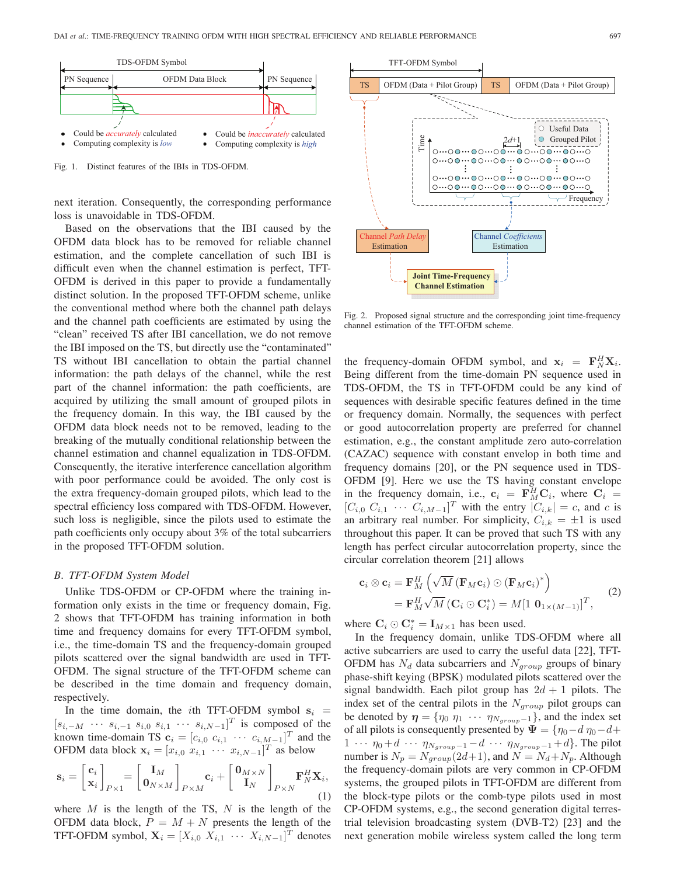

Fig. 1. Distinct features of the IBIs in TDS-OFDM.

next iteration. Consequently, the corresponding performance loss is unavoidable in TDS-OFDM.

Based on the observations that the IBI caused by the OFDM data block has to be removed for reliable channel estimation, and the complete cancellation of such IBI is difficult even when the channel estimation is perfect, TFT-OFDM is derived in this paper to provide a fundamentally distinct solution. In the proposed TFT-OFDM scheme, unlike the conventional method where both the channel path delays and the channel path coefficients are estimated by using the "clean" received TS after IBI cancellation, we do not remove the IBI imposed on the TS, but directly use the "contaminated" TS without IBI cancellation to obtain the partial channel information: the path delays of the channel, while the rest part of the channel information: the path coefficients, are acquired by utilizing the small amount of grouped pilots in the frequency domain. In this way, the IBI caused by the OFDM data block needs not to be removed, leading to the breaking of the mutually conditional relationship between the channel estimation and channel equalization in TDS-OFDM. Consequently, the iterative interference cancellation algorithm with poor performance could be avoided. The only cost is the extra frequency-domain grouped pilots, which lead to the spectral efficiency loss compared with TDS-OFDM. However, such loss is negligible, since the pilots used to estimate the path coefficients only occupy about 3% of the total subcarriers in the proposed TFT-OFDM solution.

# *B. TFT-OFDM System Model*

Unlike TDS-OFDM or CP-OFDM where the training information only exists in the time or frequency domain, Fig. 2 shows that TFT-OFDM has training information in both time and frequency domains for every TFT-OFDM symbol, i.e., the time-domain TS and the frequency-domain grouped pilots scattered over the signal bandwidth are used in TFT-OFDM. The signal structure of the TFT-OFDM scheme can be described in the time domain and frequency domain, respectively.

In the time domain, the *i*th TFT-OFDM symbol  $s_i$  =  $[s_{i,-M} \cdots s_{i,-1} s_{i,0} s_{i,1} \cdots s_{i,N-1}]^T$  is composed of the known time-domain TS  $\mathbf{c}_i = [c_{i,0} \ c_{i,1} \ \cdots \ c_{i,M-1}]^T$  and the OFDM data block  $\mathbf{x}_i = [x_{i,0} \ x_{i,1} \ \cdots \ x_{i,N-1}]^T$  as below

$$
\mathbf{s}_{i} = \begin{bmatrix} \mathbf{c}_{i} \\ \mathbf{x}_{i} \end{bmatrix}_{P \times 1} = \begin{bmatrix} \mathbf{I}_{M} \\ \mathbf{0}_{N \times M} \end{bmatrix}_{P \times M} \mathbf{c}_{i} + \begin{bmatrix} \mathbf{0}_{M \times N} \\ \mathbf{I}_{N} \end{bmatrix}_{P \times N} \mathbf{F}_{N}^{H} \mathbf{X}_{i},
$$
\n(1)

where  $M$  is the length of the TS,  $N$  is the length of the OFDM data block,  $P = M + N$  presents the length of the TFT-OFDM symbol,  $\mathbf{X}_i = [X_{i,0} \ X_{i,1} \ \cdots \ X_{i,N-1}]^T$  denotes



Fig. 2. Proposed signal structure and the corresponding joint time-frequency channel estimation of the TFT-OFDM scheme.

the frequency-domain OFDM symbol, and  $\mathbf{x}_i = \mathbf{F}_N^H \mathbf{X}_i$ . Being different from the time-domain PN sequence used in TDS-OFDM, the TS in TFT-OFDM could be any kind of sequences with desirable specific features defined in the time or frequency domain. Normally, the sequences with perfect or good autocorrelation property are preferred for channel estimation, e.g., the constant amplitude zero auto-correlation (CAZAC) sequence with constant envelop in both time and frequency domains [20], or the PN sequence used in TDS-OFDM [9]. Here we use the TS having constant envelope in the frequency domain, i.e.,  $\mathbf{c}_i = \mathbf{F}_M^H \mathbf{C}_i$ , where  $\mathbf{C}_i =$  $[C_{i,0} C_{i,1} \cdots C_{i,M-1}]^T$  with the entry  $|C_{i,k}| = c$ , and c is an arbitrary real number. For simplicity,  $C_{i,k} = \pm 1$  is used throughout this paper. It can be proved that such TS with any length has perfect circular autocorrelation property, since the circular correlation theorem [21] allows

$$
\mathbf{c}_{i} \otimes \mathbf{c}_{i} = \mathbf{F}_{M}^{H} \left( \sqrt{M} \left( \mathbf{F}_{M} \mathbf{c}_{i} \right) \odot \left( \mathbf{F}_{M} \mathbf{c}_{i} \right)^{*} \right) \n= \mathbf{F}_{M}^{H} \sqrt{M} \left( \mathbf{C}_{i} \odot \mathbf{C}_{i}^{*} \right) = M \left[ 1 \mathbf{0}_{1 \times (M-1)} \right]^{T},
$$
\n(2)

where  $\mathbf{C}_i \odot \mathbf{C}_i^* = \mathbf{I}_{M \times 1}$  has been used.

In the frequency domain, unlike TDS-OFDM where all active subcarriers are used to carry the useful data [22], TFT-OFDM has  $N_d$  data subcarriers and  $N_{group}$  groups of binary phase-shift keying (BPSK) modulated pilots scattered over the signal bandwidth. Each pilot group has  $2d + 1$  pilots. The index set of the central pilots in the  $N_{group}$  pilot groups can be denoted by  $\eta = \{\eta_0 \eta_1 \cdots \eta_{N_{group}-1}\}$ , and the index set of all pilots is consequently presented by  $\Psi = \{\eta_0 - d\eta_0 - d +$ 1 ···  $\eta_0 + d$  ···  $\eta_{N_{group}-1} - d$  ···  $\eta_{N_{group}-1} + d$ . The pilot number is  $N_p = N_{group}(2d+1)$ , and  $N = N_d + N_p$ . Although the frequency-domain pilots are very common in CP-OFDM systems, the grouped pilots in TFT-OFDM are different from the block-type pilots or the comb-type pilots used in most CP-OFDM systems, e.g., the second generation digital terrestrial television broadcasting system (DVB-T2) [23] and the next generation mobile wireless system called the long term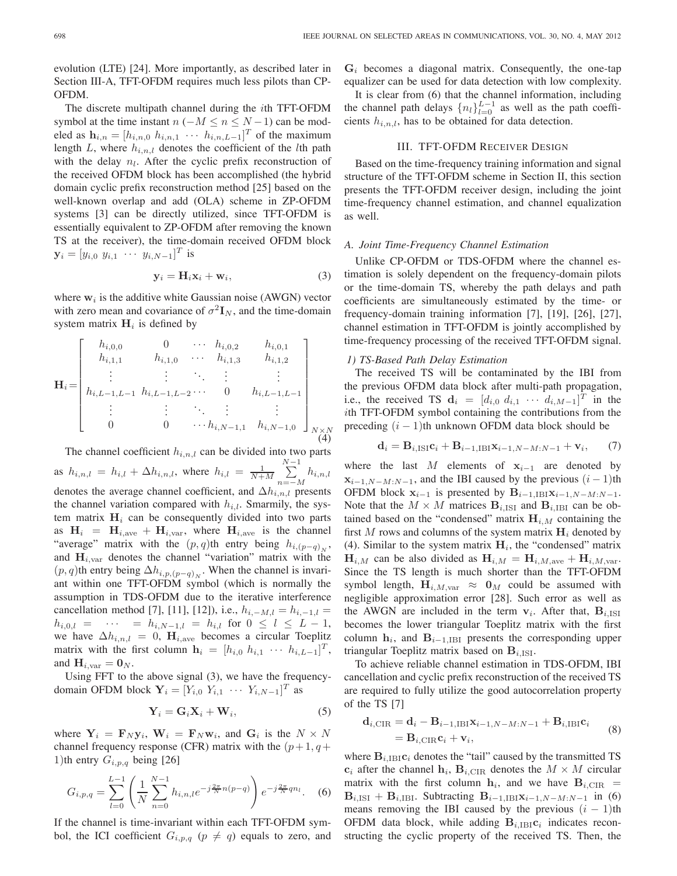evolution (LTE) [24]. More importantly, as described later in Section III-A, TFT-OFDM requires much less pilots than CP-OFDM.

The discrete multipath channel during the ith TFT-OFDM symbol at the time instant  $n$  ( $-M \le n \le N-1$ ) can be modeled as  $\mathbf{h}_{i,n} = [h_{i,n,0} \; h_{i,n,1} \; \cdots \; h_{i,n,L-1}]^T$  of the maximum length  $L$ , where  $h_{i,n,l}$  denotes the coefficient of the *l*th path with the delay  $n_l$ . After the cyclic prefix reconstruction of the received OFDM block has been accomplished (the hybrid domain cyclic prefix reconstruction method [25] based on the well-known overlap and add (OLA) scheme in ZP-OFDM systems [3] can be directly utilized, since TFT-OFDM is essentially equivalent to ZP-OFDM after removing the known TS at the receiver), the time-domain received OFDM block  $\mathbf{y}_i = [y_{i,0} \ y_{i,1} \ \cdots \ y_{i,N-1}]^T$  is

$$
\mathbf{y}_i = \mathbf{H}_i \mathbf{x}_i + \mathbf{w}_i,\tag{3}
$$

where  $w_i$  is the additive white Gaussian noise (AWGN) vector with zero mean and covariance of  $\sigma^2 \mathbf{I}_N$ , and the time-domain system matrix  $H_i$  is defined by

$$
\mathbf{H}_{i} = \begin{bmatrix} h_{i,0,0} & 0 & \cdots & h_{i,0,2} & h_{i,0,1} \\ h_{i,1,1} & h_{i,1,0} & \cdots & h_{i,1,3} & h_{i,1,2} \\ \vdots & \vdots & \ddots & \vdots & \vdots \\ h_{i,L-1,L-1} & h_{i,L-1,L-2} & \cdots & 0 & h_{i,L-1,L-1} \\ \vdots & \vdots & \ddots & \vdots & \vdots \\ 0 & 0 & \cdots & h_{i,N-1,1} & h_{i,N-1,0} \end{bmatrix}_{N \times N}_{N \times N}
$$

The channel coefficient  $h_{i,n,l}$  can be divided into two parts as  $h_{i,n,l} = h_{i,l} + \Delta h_{i,n,l}$ , where  $h_{i,l} = \frac{1}{N+M}$  $\sum_{i=1}^{N-1}$  $n=-M$  $h_{i,n,l}$ denotes the average channel coefficient, and  $\Delta h_{i,n,l}$  presents the channel variation compared with  $h_{i,l}$ . Smarmily, the system matrix  $H_i$  can be consequently divided into two parts as  $H_i = H_{i, \text{ave}} + H_{i, \text{var}}$ , where  $H_{i, \text{ave}}$  is the channel "average" matrix with the  $(p, q)$ th entry being  $h_{i,(p-q)_N}$ , and **H**i,var denotes the channel "variation" matrix with the  $(p, q)$ th entry being  $\Delta h_{i, p, (p-q)_N}$ . When the channel is invariant within one TFT-OFDM symbol (which is normally the assumption in TDS-OFDM due to the iterative interference cancellation method [7], [11], [12]), i.e.,  $h_{i,-M,l} = h_{i,-1,l}$  $h_{i,0,l} = \cdots = h_{i,N-1,l} = h_{i,l}$  for  $0 \le l \le L-1$ , we have  $\Delta h_{i,n,l} = 0$ ,  $\mathbf{H}_{i,\text{ave}}$  becomes a circular Toeplitz matrix with the first column  $\mathbf{h}_i = [h_{i,0} \; h_{i,1} \; \cdots \; h_{i,L-1}]^T$ , and  $\mathbf{H}_{i,\text{var}} = \mathbf{0}_N$ .

Using FFT to the above signal (3), we have the frequencydomain OFDM block  $\mathbf{Y}_i = [Y_{i,0} \ Y_{i,1} \ \cdots \ Y_{i,N-1}]^T$  as

$$
\mathbf{Y}_i = \mathbf{G}_i \mathbf{X}_i + \mathbf{W}_i, \tag{5}
$$

where  $Y_i = F_N y_i$ ,  $W_i = F_N w_i$ , and  $G_i$  is the  $N \times N$ channel frequency response (CFR) matrix with the  $(p+1, q+1)$ 1)th entry  $G_{i,p,q}$  being [26]

$$
G_{i,p,q} = \sum_{l=0}^{L-1} \left( \frac{1}{N} \sum_{n=0}^{N-1} h_{i,n,l} e^{-j\frac{2\pi}{N}n(p-q)} \right) e^{-j\frac{2\pi}{N}qn_l}.
$$
 (6)

If the channel is time-invariant within each TFT-OFDM symbol, the ICI coefficient  $G_{i,p,q}$   $(p \neq q)$  equals to zero, and

 $G_i$  becomes a diagonal matrix. Consequently, the one-tap equalizer can be used for data detection with low complexity.

It is clear from (6) that the channel information, including the channel path delays  $\{n_l\}_{l=0}^{L-1}$  as well as the path coefficients  $h_{i,n,l}$ , has to be obtained for data detection.

# III. TFT-OFDM RECEIVER DESIGN

Based on the time-frequency training information and signal structure of the TFT-OFDM scheme in Section II, this section presents the TFT-OFDM receiver design, including the joint time-frequency channel estimation, and channel equalization as well.

# *A. Joint Time-Frequency Channel Estimation*

Unlike CP-OFDM or TDS-OFDM where the channel estimation is solely dependent on the frequency-domain pilots or the time-domain TS, whereby the path delays and path coefficients are simultaneously estimated by the time- or frequency-domain training information [7], [19], [26], [27], channel estimation in TFT-OFDM is jointly accomplished by time-frequency processing of the received TFT-OFDM signal.

# *1) TS-Based Path Delay Estimation*

The received TS will be contaminated by the IBI from the previous OFDM data block after multi-path propagation, i.e., the received TS  $\mathbf{d}_i = [d_{i,0} \ d_{i,1} \ \cdots \ d_{i,M-1}]^T$  in the ith TFT-OFDM symbol containing the contributions from the preceding  $(i - 1)$ th unknown OFDM data block should be

$$
\mathbf{d}_i = \mathbf{B}_{i,\mathrm{ISI}} \mathbf{c}_i + \mathbf{B}_{i-1,\mathrm{IBI}} \mathbf{x}_{i-1,N-M:N-1} + \mathbf{v}_i,\qquad(7)
$$

where the last M elements of  $x_{i-1}$  are denoted by  $x_{i-1,N-M:N-1}$ , and the IBI caused by the previous  $(i-1)$ th OFDM block  $\mathbf{x}_{i-1}$  is presented by  $\mathbf{B}_{i-1,\text{IBI}}\mathbf{x}_{i-1,N-M:N-1}$ . Note that the  $M \times M$  matrices  $B_{i,ISI}$  and  $B_{i,IBI}$  can be obtained based on the "condensed" matrix  $H_{i,M}$  containing the first M rows and columns of the system matrix  $H_i$  denoted by (4). Similar to the system matrix  $H_i$ , the "condensed" matrix  $\mathbf{H}_{i,M}$  can be also divided as  $\mathbf{H}_{i,M} = \mathbf{H}_{i,M,\text{ave}} + \mathbf{H}_{i,M,\text{var}}$ . Since the TS length is much shorter than the TFT-OFDM symbol length,  $\mathbf{H}_{i,M,\text{var}} \approx \mathbf{0}_M$  could be assumed with negligible approximation error [28]. Such error as well as the AWGN are included in the term  $v_i$ . After that,  $B_{i,1S1}$ becomes the lower triangular Toeplitz matrix with the first column  $h_i$ , and  $B_{i-1,\text{IBI}}$  presents the corresponding upper triangular Toeplitz matrix based on  $B_{i,ISI}$ .

To achieve reliable channel estimation in TDS-OFDM, IBI cancellation and cyclic prefix reconstruction of the received TS are required to fully utilize the good autocorrelation property of the TS [7]

$$
\mathbf{d}_{i,\text{CIR}} = \mathbf{d}_i - \mathbf{B}_{i-1,\text{IBI}} \mathbf{x}_{i-1,N-M:N-1} + \mathbf{B}_{i,\text{IBI}} \mathbf{c}_i
$$
  
=  $\mathbf{B}_{i,\text{CIR}} \mathbf{c}_i + \mathbf{v}_i,$  (8)

where  $B_{i,\text{IBI}}c_i$  denotes the "tail" caused by the transmitted TS  $c_i$  after the channel  $h_i$ ,  $B_{i,\text{CIR}}$  denotes the  $M \times M$  circular matrix with the first column  $h_i$ , and we have  $B_{i, \text{CIR}}$  =  $\mathbf{B}_{i,\text{ISI}} + \mathbf{B}_{i,\text{IBI}}$ . Subtracting  $\mathbf{B}_{i-1,\text{IBI}}\mathbf{x}_{i-1,N-M:N-1}$  in (6) means removing the IBI caused by the previous  $(i - 1)$ th OFDM data block, while adding  $B_{i,IBI}c_i$  indicates reconstructing the cyclic property of the received TS. Then, the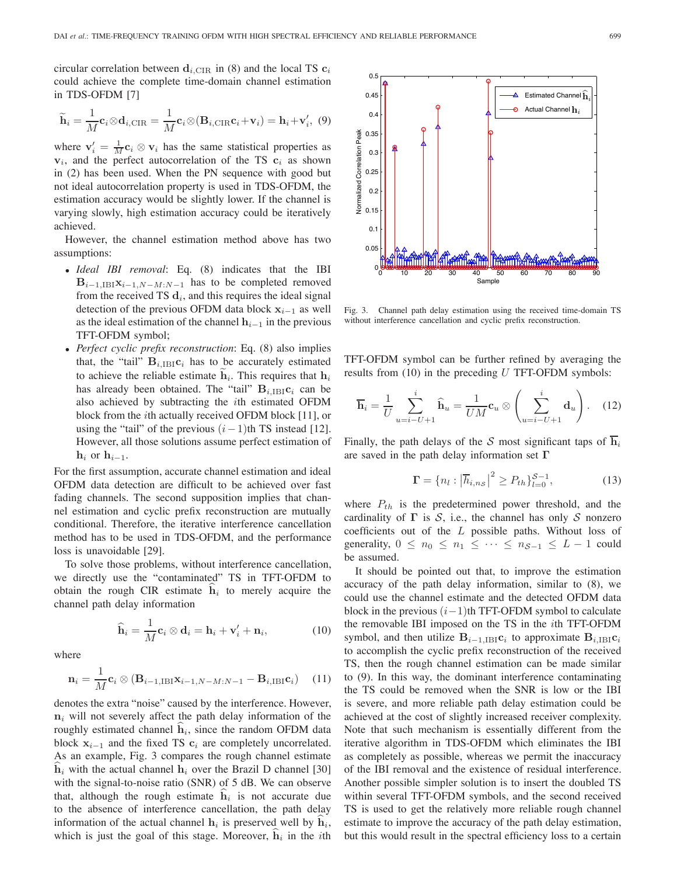circular correlation between  $\mathbf{d}_{i,\text{CIR}}$  in (8) and the local TS  $\mathbf{c}_i$ could achieve the complete time-domain channel estimation in TDS-OFDM [7]

$$
\widetilde{\mathbf{h}}_i = \frac{1}{M} \mathbf{c}_i \otimes \mathbf{d}_{i,\text{CIR}} = \frac{1}{M} \mathbf{c}_i \otimes (\mathbf{B}_{i,\text{CIR}} \mathbf{c}_i + \mathbf{v}_i) = \mathbf{h}_i + \mathbf{v}'_i, \tag{9}
$$

where  $\mathbf{v}'_i = \frac{1}{M} \mathbf{c}_i \otimes \mathbf{v}_i$  has the same statistical properties as  $v_i$ , and the perfect autocorrelation of the TS  $c_i$  as shown in (2) has been used. When the PN sequence with good but not ideal autocorrelation property is used in TDS-OFDM, the estimation accuracy would be slightly lower. If the channel is varying slowly, high estimation accuracy could be iteratively achieved.

However, the channel estimation method above has two assumptions:

- *Ideal IBI removal*: Eq. (8) indicates that the IBI  $B_{i-1,\text{IBI}}x_{i-1,N-M:N-1}$  has to be completed removed from the received TS  $\mathbf{d}_i$ , and this requires the ideal signal detection of the previous OFDM data block  $\mathbf{x}_{i-1}$  as well as the ideal estimation of the channel **<sup>h</sup>**<sup>i</sup>−<sup>1</sup> in the previous TFT-OFDM symbol;
- *Perfect cyclic prefix reconstruction*: Eq. (8) also implies that, the "tail"  $B_{i,IBI}c_i$  has to be accurately estimated to achieve the reliable estimate  $h_i$ . This requires that  $h_i$ has already been obtained. The "tail"  $B_{i,IBI}c_i$  can be also achieved by subtracting the ith estimated OFDM block from the ith actually received OFDM block [11], or using the "tail" of the previous  $(i-1)$ th TS instead [12]. However, all those solutions assume perfect estimation of  $h_i$  or  $h_{i-1}$ .

For the first assumption, accurate channel estimation and ideal OFDM data detection are difficult to be achieved over fast fading channels. The second supposition implies that channel estimation and cyclic prefix reconstruction are mutually conditional. Therefore, the iterative interference cancellation method has to be used in TDS-OFDM, and the performance loss is unavoidable [29].

To solve those problems, without interference cancellation, we directly use the "contaminated" TS in TFT-OFDM to obtain the rough CIR estimate  $\hat{h}_i$  to merely acquire the channel path delay information

$$
\widehat{\mathbf{h}}_i = \frac{1}{M} \mathbf{c}_i \otimes \mathbf{d}_i = \mathbf{h}_i + \mathbf{v}'_i + \mathbf{n}_i,
$$
\n(10)

where

$$
\mathbf{n}_{i} = \frac{1}{M}\mathbf{c}_{i} \otimes (\mathbf{B}_{i-1,\mathrm{IBI}}\mathbf{x}_{i-1,N-M:N-1} - \mathbf{B}_{i,\mathrm{IBI}}\mathbf{c}_{i}) \quad (11)
$$

denotes the extra "noise" caused by the interference. However,  $n_i$  will not severely affect the path delay information of the roughly estimated channel  $\hat{h}_i$ , since the random OFDM data block  $x_{i-1}$  and the fixed TS  $c_i$  are completely uncorrelated. As an example, Fig. 3 compares the rough channel estimate  $\hat{\mathbf{h}}_i$  with the actual channel  $\mathbf{h}_i$  over the Brazil D channel [30] with the signal-to-noise ratio (SNR) of 5 dB. We can observe that, although the rough estimate  $\hat{\mathbf{h}}_i$  is not accurate due to the absence of interference cancellation, the path delay information of the actual channel  $\mathbf{h}_i$  is preserved well by  $\widehat{\mathbf{h}_i}$ , which is just the goal of this stage. Moreover,  $\hat{h}_i$  in the *i*th



TFT-OFDM symbol can be further refined by averaging the results from  $(10)$  in the preceding U TFT-OFDM symbols:

$$
\overline{\mathbf{h}}_i = \frac{1}{U} \sum_{u=i-U+1}^i \widehat{\mathbf{h}}_u = \frac{1}{UM} \mathbf{c}_u \otimes \left( \sum_{u=i-U+1}^i \mathbf{d}_u \right). \quad (12)
$$

Finally, the path delays of the S most significant taps of  $\overline{\mathbf{h}}_i$ are saved in the path delay information set **Γ**

$$
\Gamma = \{ n_l : |\overline{h}_{i,n_S}|^2 \ge P_{th} \}_{l=0}^{S-1},\tag{13}
$$

where  $P_{th}$  is the predetermined power threshold, and the cardinality of  $\Gamma$  is S, i.e., the channel has only S nonzero coefficients out of the  $L$  possible paths. Without loss of generality,  $0 \leq n_0 \leq n_1 \leq \cdots \leq n_{S-1} \leq L-1$  could be assumed.

It should be pointed out that, to improve the estimation accuracy of the path delay information, similar to (8), we could use the channel estimate and the detected OFDM data block in the previous  $(i-1)$ th TFT-OFDM symbol to calculate the removable IBI imposed on the TS in the ith TFT-OFDM symbol, and then utilize  $B_{i-1,\text{IBI}}c_i$  to approximate  $B_{i,\text{IBI}}c_i$ to accomplish the cyclic prefix reconstruction of the received TS, then the rough channel estimation can be made similar to (9). In this way, the dominant interference contaminating the TS could be removed when the SNR is low or the IBI is severe, and more reliable path delay estimation could be achieved at the cost of slightly increased receiver complexity. Note that such mechanism is essentially different from the iterative algorithm in TDS-OFDM which eliminates the IBI as completely as possible, whereas we permit the inaccuracy of the IBI removal and the existence of residual interference. Another possible simpler solution is to insert the doubled TS within several TFT-OFDM symbols, and the second received TS is used to get the relatively more reliable rough channel estimate to improve the accuracy of the path delay estimation, but this would result in the spectral efficiency loss to a certain

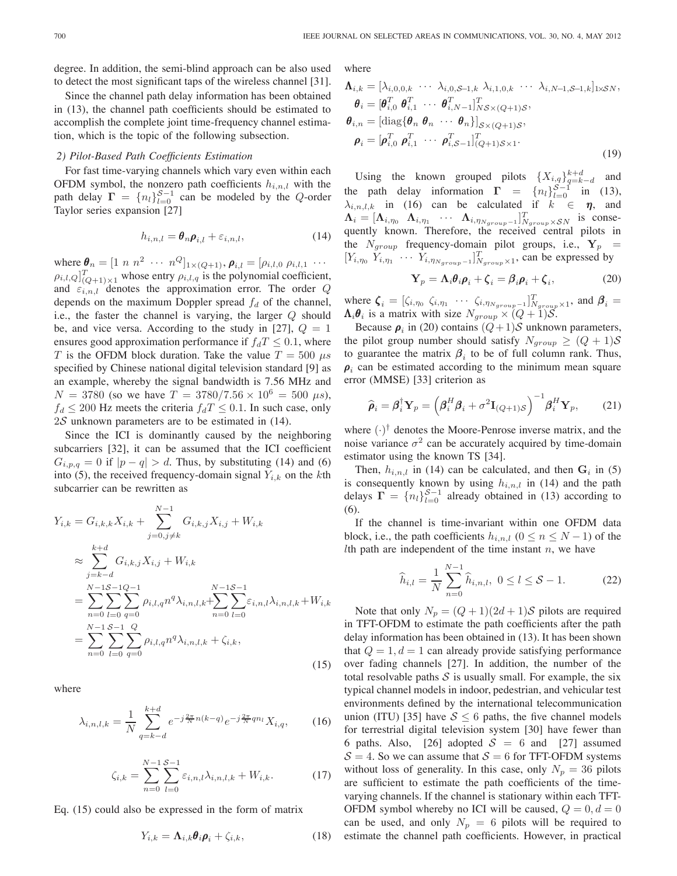degree. In addition, the semi-blind approach can be also used to detect the most significant taps of the wireless channel [31].

Since the channel path delay information has been obtained in (13), the channel path coefficients should be estimated to accomplish the complete joint time-frequency channel estimation, which is the topic of the following subsection.

#### *2) Pilot-Based Path Coefficients Estimation*

For fast time-varying channels which vary even within each OFDM symbol, the nonzero path coefficients  $h_{i,n,l}$  with the path delay  $\Gamma = \{n_l\}_{l=0}^{S-1}$  can be modeled by the Q-order Taylor series expansion [27]

$$
h_{i,n,l} = \boldsymbol{\theta}_n \boldsymbol{\rho}_{i,l} + \varepsilon_{i,n,l},
$$
\n(14)

where  $\theta_n = [1 \; n \; n^2 \; \cdots \; n^Q]_{1 \times (Q+1)}$ ,  $\rho_{i,l} = [\rho_{i,l,0} \; \rho_{i,l,1} \; \cdots]$  $\rho_{i,l,Q}|_{(Q+1)\times 1}^T$  whose entry  $\rho_{i,l,q}$  is the polynomial coefficient, and  $\varepsilon_{i,n,l}$  denotes the approximation error. The order Q depends on the maximum Doppler spread  $f_d$  of the channel, i.e., the faster the channel is varying, the larger  $Q$  should be, and vice versa. According to the study in [27],  $Q = 1$ ensures good approximation performance if  $f_dT \leq 0.1$ , where T is the OFDM block duration. Take the value  $T = 500 \mu s$ specified by Chinese national digital television standard [9] as an example, whereby the signal bandwidth is 7.56 MHz and  $N = 3780$  (so we have  $T = 3780/7.56 \times 10^6 = 500 \mu s$ ),  $f_d \le 200$  Hz meets the criteria  $f_dT \le 0.1$ . In such case, only  $2S$  unknown parameters are to be estimated in (14).

Since the ICI is dominantly caused by the neighboring subcarriers [32], it can be assumed that the ICI coefficient  $G_{i,p,q} = 0$  if  $|p - q| > d$ . Thus, by substituting (14) and (6) into (5), the received frequency-domain signal  $Y_{i,k}$  on the kth subcarrier can be rewritten as

$$
Y_{i,k} = G_{i,k,k} X_{i,k} + \sum_{j=0,j\neq k}^{N-1} G_{i,k,j} X_{i,j} + W_{i,k}
$$
  
\n
$$
\approx \sum_{j=k-d}^{k+d} G_{i,k,j} X_{i,j} + W_{i,k}
$$
  
\n
$$
= \sum_{N-1}^{N-1} \sum_{l=0}^{S-1} \sum_{q=0}^{Q} \rho_{i,l,q} n^q \lambda_{i,n,l,k} + \sum_{n=0}^{N-1} \sum_{l=0}^{S-1} \varepsilon_{i,n,l} \lambda_{i,n,l,k} + W_{i,k}
$$
  
\n
$$
= \sum_{n=0}^{N-1} \sum_{l=0}^{S-1} \sum_{q=0}^{Q} \rho_{i,l,q} n^q \lambda_{i,n,l,k} + \zeta_{i,k},
$$
\n(15)

where

$$
\lambda_{i,n,l,k} = \frac{1}{N} \sum_{q=k-d}^{k+d} e^{-j\frac{2\pi}{N}n(k-q)} e^{-j\frac{2\pi}{N}qn_l} X_{i,q}, \quad (16)
$$

$$
\zeta_{i,k} = \sum_{n=0}^{N-1} \sum_{l=0}^{S-1} \varepsilon_{i,n,l} \lambda_{i,n,l,k} + W_{i,k}.
$$
 (17)

Eq. (15) could also be expressed in the form of matrix

$$
Y_{i,k} = \Lambda_{i,k} \theta_i \rho_i + \zeta_{i,k}, \qquad (18)
$$

where

$$
\Lambda_{i,k} = [\lambda_{i,0,0,k} \cdots \lambda_{i,0,S-1,k} \lambda_{i,1,0,k} \cdots \lambda_{i,N-1,S-1,k}]_{1 \times SN},
$$
  
\n
$$
\theta_i = [\theta_{i,0}^T \theta_{i,1}^T \cdots \theta_{i,N-1}^T]_{NS \times (Q+1)S}^T,
$$
  
\n
$$
\theta_{i,n} = [\text{diag}\{\theta_n \ \theta_n \ \cdots \ \theta_n\}]_{S \times (Q+1)S},
$$
  
\n
$$
\rho_i = [\rho_{i,0}^T \ \rho_{i,1}^T \ \cdots \ \rho_{i,S-1}^T]_{(Q+1)S \times 1}^T.
$$
\n(19)

Using the known grouped pilots  $\{X_{i,q}\}_{q=k-d}^{k+d}$  and the path delay information  $\mathbf{\Gamma} = \{n_l\}_{l=0}^{\mathcal{S}-1}$  in (13),  $\lambda_{i,n,l,k}$  in (16) can be calculated if  $k \in \eta$ , and  $\Lambda_i = [\Lambda_{i,\eta_0} \quad \Lambda_{i,\eta_1} \quad \cdots \quad \Lambda_{i,\eta_{N_{group}-1}}]_{N_{group} \times SN}^T$  is consequently known. Therefore, the received central pilots in the  $N_{group}$  frequency-domain pilot groups, i.e.,  $Y_p$  = [ $Y_{i,\eta_0}$   $\overline{Y}_{i,\eta_1}$   $\cdots$   $Y_{i,\eta_{N_{group}-1}}$ ] $\overline{Y}_{group\times1}$ , can be expressed by

$$
\mathbf{Y}_p = \mathbf{\Lambda}_i \boldsymbol{\theta}_i \boldsymbol{\rho}_i + \boldsymbol{\zeta}_i = \boldsymbol{\beta}_i \boldsymbol{\rho}_i + \boldsymbol{\zeta}_i, \tag{20}
$$

where  $\boldsymbol{\zeta}_i = [\zeta_{i,\eta_0} \ \zeta_{i,\eta_1} \ \cdots \ \zeta_{i,\eta_{N_{group}-1}}]_{N_{group}\times 1}^T$ , and  $\boldsymbol{\beta}_i = \Lambda_i \boldsymbol{\theta}_i$  is a matrix with size  $N_{group} \times (Q+1)S$ .

Because  $\rho_i$  in (20) contains  $(Q+1)S$  unknown parameters, the pilot group number should satisfy  $N_{group} \ge (Q + 1)S$ to guarantee the matrix  $\beta_i$  to be of full column rank. Thus,  $\rho_i$  can be estimated according to the minimum mean square error (MMSE) [33] criterion as

$$
\widehat{\boldsymbol{\rho}}_i = \boldsymbol{\beta}_i^{\dagger} \mathbf{Y}_p = \left( \boldsymbol{\beta}_i^H \boldsymbol{\beta}_i + \sigma^2 \mathbf{I}_{(Q+1)\mathcal{S}} \right)^{-1} \boldsymbol{\beta}_i^H \mathbf{Y}_p, \qquad (21)
$$

where  $(\cdot)^\dagger$  denotes the Moore-Penrose inverse matrix, and the noise variance  $\sigma^2$  can be accurately acquired by time-domain estimator using the known TS [34].

Then,  $h_{i,n,l}$  in (14) can be calculated, and then  $G_i$  in (5) is consequently known by using  $h_{i,n,l}$  in (14) and the path delays  $\mathbf{\Gamma} = \{n_l\}_{l=0}^{S-1}$  already obtained in (13) according to (6).

If the channel is time-invariant within one OFDM data block, i.e., the path coefficients  $h_{i,n,l}$  ( $0 \le n \le N-1$ ) of the Ith path are independent of the time instant  $n$ , we have

$$
\widehat{h}_{i,l} = \frac{1}{N} \sum_{n=0}^{N-1} \widehat{h}_{i,n,l}, \ 0 \le l \le S-1.
$$
 (22)

Note that only  $N_p = (Q+1)(2d+1)S$  pilots are required in TFT-OFDM to estimate the path coefficients after the path delay information has been obtained in (13). It has been shown that  $Q = 1, d = 1$  can already provide satisfying performance over fading channels [27]. In addition, the number of the total resolvable paths  $S$  is usually small. For example, the six typical channel models in indoor, pedestrian, and vehicular test environments defined by the international telecommunication union (ITU) [35] have  $S \le 6$  paths, the five channel models for terrestrial digital television system [30] have fewer than 6 paths. Also, [26] adopted  $S = 6$  and [27] assumed  $S = 4$ . So we can assume that  $S = 6$  for TFT-OFDM systems without loss of generality. In this case, only  $N_p = 36$  pilots are sufficient to estimate the path coefficients of the timevarying channels. If the channel is stationary within each TFT-OFDM symbol whereby no ICI will be caused,  $Q = 0, d = 0$ can be used, and only  $N_p = 6$  pilots will be required to estimate the channel path coefficients. However, in practical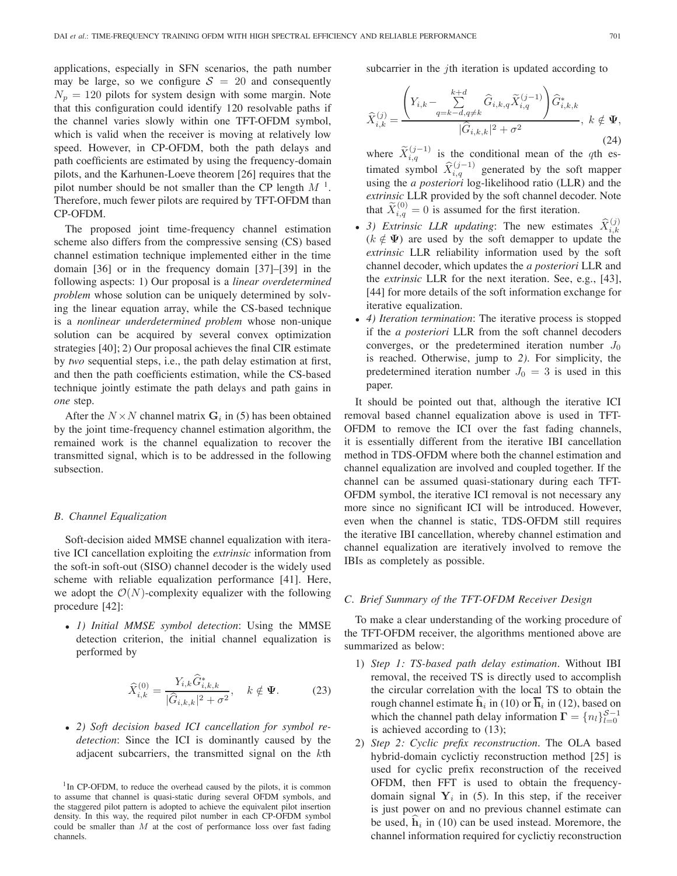applications, especially in SFN scenarios, the path number may be large, so we configure  $S = 20$  and consequently  $N_p = 120$  pilots for system design with some margin. Note that this configuration could identify 120 resolvable paths if the channel varies slowly within one TFT-OFDM symbol, which is valid when the receiver is moving at relatively low speed. However, in CP-OFDM, both the path delays and path coefficients are estimated by using the frequency-domain pilots, and the Karhunen-Loeve theorem [26] requires that the pilot number should be not smaller than the CP length  $M<sup>-1</sup>$ . Therefore, much fewer pilots are required by TFT-OFDM than CP-OFDM.

The proposed joint time-frequency channel estimation scheme also differs from the compressive sensing (CS) based channel estimation technique implemented either in the time domain [36] or in the frequency domain [37]–[39] in the following aspects: 1) Our proposal is a *linear overdetermined problem* whose solution can be uniquely determined by solving the linear equation array, while the CS-based technique is a *nonlinear underdetermined problem* whose non-unique solution can be acquired by several convex optimization strategies [40]; 2) Our proposal achieves the final CIR estimate by *two* sequential steps, i.e., the path delay estimation at first, and then the path coefficients estimation, while the CS-based technique jointly estimate the path delays and path gains in *one* step.

After the  $N \times N$  channel matrix  $G_i$  in (5) has been obtained by the joint time-frequency channel estimation algorithm, the remained work is the channel equalization to recover the transmitted signal, which is to be addressed in the following subsection.

# *B. Channel Equalization*

Soft-decision aided MMSE channel equalization with iterative ICI cancellation exploiting the *extrinsic* information from the soft-in soft-out (SISO) channel decoder is the widely used scheme with reliable equalization performance [41]. Here, we adopt the  $\mathcal{O}(N)$ -complexity equalizer with the following procedure [42]:

• *1) Initial MMSE symbol detection*: Using the MMSE detection criterion, the initial channel equalization is performed by

$$
\widehat{X}_{i,k}^{(0)} = \frac{Y_{i,k}\widehat{G}_{i,k,k}^*}{|\widehat{G}_{i,k,k}|^2 + \sigma^2}, \quad k \notin \Psi.
$$
 (23)

• *2) Soft decision based ICI cancellation for symbol redetection*: Since the ICI is dominantly caused by the adjacent subcarriers, the transmitted signal on the  $k$ th subcarrier in the  $i$ th iteration is updated according to

$$
\widehat{X}_{i,k}^{(j)} = \frac{\left(Y_{i,k} - \sum_{q=k-d,q \neq k}^{k+d} \widehat{G}_{i,k,q} \widetilde{X}_{i,q}^{(j-1)}\right) \widehat{G}_{i,k,k}^*}{|\widehat{G}_{i,k,k}|^2 + \sigma^2}, \ k \notin \Psi,
$$
\n(24)

where  $\widetilde{X}_{i,q}^{(j-1)}$  is the conditional mean of the qth estimated symbol  $\widehat{X}_{i,q}^{(j-1)}$  generated by the soft mapper using the *a posteriori* log-likelihood ratio (LLR) and the *extrinsic* LLR provided by the soft channel decoder. Note that  $\widetilde{X}_{i,q}^{(0)} = 0$  is assumed for the first iteration.

- 3) Extrinsic LLR updating: The new estimates  $\hat{X}_{i,k}^{(j)}$ i,k  $(k \notin \Psi)$  are used by the soft demapper to update the *extrinsic* LLR reliability information used by the soft channel decoder, which updates the *a posteriori* LLR and the *extrinsic* LLR for the next iteration. See, e.g., [43], [44] for more details of the soft information exchange for iterative equalization.
- *4) Iteration termination*: The iterative process is stopped if the *a posteriori* LLR from the soft channel decoders converges, or the predetermined iteration number  $J_0$ is reached. Otherwise, jump to *2)*. For simplicity, the predetermined iteration number  $J_0 = 3$  is used in this paper.

It should be pointed out that, although the iterative ICI removal based channel equalization above is used in TFT-OFDM to remove the ICI over the fast fading channels, it is essentially different from the iterative IBI cancellation method in TDS-OFDM where both the channel estimation and channel equalization are involved and coupled together. If the channel can be assumed quasi-stationary during each TFT-OFDM symbol, the iterative ICI removal is not necessary any more since no significant ICI will be introduced. However, even when the channel is static, TDS-OFDM still requires the iterative IBI cancellation, whereby channel estimation and channel equalization are iteratively involved to remove the IBIs as completely as possible.

# *C. Brief Summary of the TFT-OFDM Receiver Design*

To make a clear understanding of the working procedure of the TFT-OFDM receiver, the algorithms mentioned above are summarized as below:

- 1) *Step 1: TS-based path delay estimation*. Without IBI removal, the received TS is directly used to accomplish the circular correlation with the local TS to obtain the rough channel estimate  $\widehat{\mathbf{h}}_i$  in (10) or  $\overline{\mathbf{h}}_i$  in (12), based on which the channel path delay information  $\mathbf{\Gamma} = \{n_l\}_{l=0}^{S-1}$ is achieved according to (13);
- 2) *Step 2: Cyclic prefix reconstruction*. The OLA based hybrid-domain cyclictiy reconstruction method [25] is used for cyclic prefix reconstruction of the received OFDM, then FFT is used to obtain the frequencydomain signal  $Y_i$  in (5). In this step, if the receiver is just power on and no previous channel estimate can be used,  $\hat{h}_i$  in (10) can be used instead. Moremore, the channel information required for cyclictiy reconstruction

<sup>&</sup>lt;sup>1</sup>In CP-OFDM, to reduce the overhead caused by the pilots, it is common to assume that channel is quasi-static during several OFDM symbols, and the staggered pilot pattern is adopted to achieve the equivalent pilot insertion density. In this way, the required pilot number in each CP-OFDM symbol could be smaller than *M* at the cost of performance loss over fast fading channels.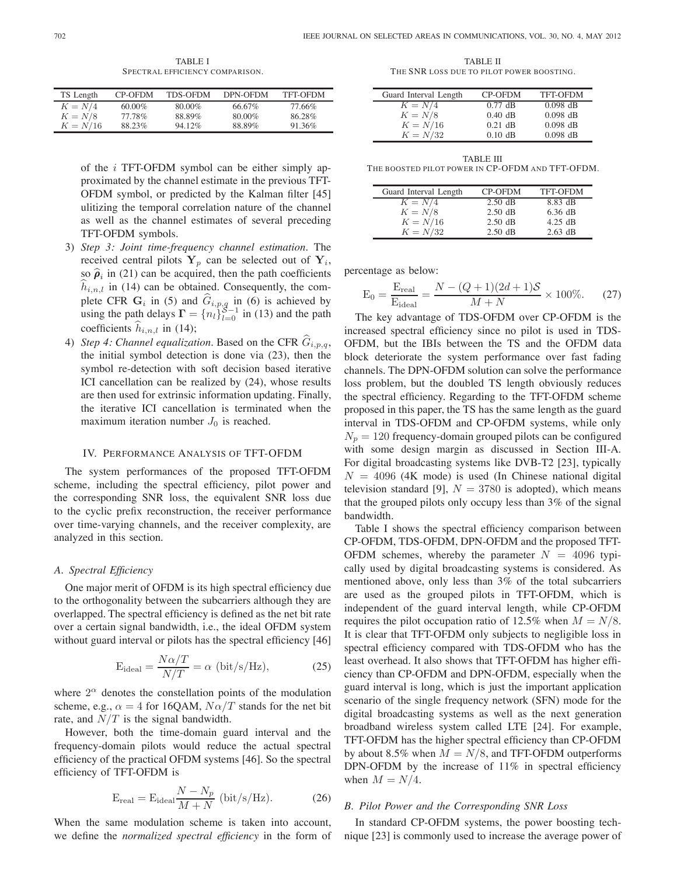TABLE I SPECTRAL EFFICIENCY COMPARISON.

| TS Length  | CP-OFDM   | <b>TDS-OFDM</b> | DPN-OFDM  | <b>TFT-OFDM</b> |
|------------|-----------|-----------------|-----------|-----------------|
| $K = N/4$  | $60.00\%$ | $80.00\%$       | 66.67%    | 77.66%          |
| $K = N/8$  | 77.78%    | 88.89%          | $80.00\%$ | 86.28%          |
| $K = N/16$ | 88.23%    | $94.12\%$       | 88.89%    | $91.36\%$       |

of the i TFT-OFDM symbol can be either simply approximated by the channel estimate in the previous TFT-OFDM symbol, or predicted by the Kalman filter [45] ulitizing the temporal correlation nature of the channel as well as the channel estimates of several preceding TFT-OFDM symbols.

- 3) *Step 3: Joint time-frequency channel estimation*. The received central pilots  $Y_p$  can be selected out of  $Y_i$ , so  $\hat{\rho}_i$  in (21) can be acquired, then the path coefficients  $\hat{h}_{i,n,l}$  in (14) can be obtained. Consequently, the complete CFR  $\mathbf{G}_i$  in (5) and  $\hat{G}_{i,p,q}$  in (6) is achieved by using the path delays  $\Gamma = \{n_l\}_{l=0}^{S-1}$  in (13) and the path coefficients  $\hat{h}_{i,n,l}$  in (14);
- 4) *Step 4: Channel equalization.* Based on the CFR  $\widehat{G}_{i,p,q}$ , the initial symbol detection is done via (23), then the symbol re-detection with soft decision based iterative ICI cancellation can be realized by (24), whose results are then used for extrinsic information updating. Finally, the iterative ICI cancellation is terminated when the maximum iteration number  $J_0$  is reached.

#### IV. PERFORMANCE ANALYSIS OF TFT-OFDM

The system performances of the proposed TFT-OFDM scheme, including the spectral efficiency, pilot power and the corresponding SNR loss, the equivalent SNR loss due to the cyclic prefix reconstruction, the receiver performance over time-varying channels, and the receiver complexity, are analyzed in this section.

#### *A. Spectral Efficiency*

One major merit of OFDM is its high spectral efficiency due to the orthogonality between the subcarriers although they are overlapped. The spectral efficiency is defined as the net bit rate over a certain signal bandwidth, i.e., the ideal OFDM system without guard interval or pilots has the spectral efficiency [46]

$$
E_{\text{ideal}} = \frac{N\alpha/T}{N/T} = \alpha \text{ (bit/s/Hz)},\tag{25}
$$

where  $2^{\alpha}$  denotes the constellation points of the modulation scheme, e.g.,  $\alpha = 4$  for 16QAM,  $N\alpha/T$  stands for the net bit rate, and  $N/T$  is the signal bandwidth.

However, both the time-domain guard interval and the frequency-domain pilots would reduce the actual spectral efficiency of the practical OFDM systems [46]. So the spectral efficiency of TFT-OFDM is

$$
E_{\text{real}} = E_{\text{ideal}} \frac{N - N_p}{M + N} \text{ (bit/s/Hz)}.
$$
 (26)

When the same modulation scheme is taken into account, we define the *normalized spectral efficiency* in the form of

TABLE II THE SNR LOSS DUE TO PILOT POWER BOOSTING.

| Guard Interval Length | <b>CP-OFDM</b> | <b>TFT-OFDM</b> |
|-----------------------|----------------|-----------------|
| $K = N/4$             | $0.77$ dB      | $0.098$ dB      |
| $K = N/8$             | $0.40$ dB      | $0.098$ dB      |
| $K = N/16$            | $0.21$ dB      | $0.098$ dB      |
| $K = N/32$            | $0.10$ dB      | $0.098$ dB      |

TABLE III THE BOOSTED PILOT POWER IN CP-OFDM AND TFT-OFDM.

| Guard Interval Length | <b>CP-OFDM</b>    | <b>TFT-OFDM</b> |
|-----------------------|-------------------|-----------------|
| $K = N/4$             | $2.50 \text{ dB}$ | 8.83 dB         |
| $K = N/8$             | $2.50 \text{ dB}$ | $6.36$ dB       |
| $K = N/16$            | $2.50 \text{ dB}$ | $4.25$ dB       |
| $K = N/32$            | $2.50 \text{ dB}$ | $2.63$ dB       |

percentage as below:

$$
E_0 = \frac{E_{\text{real}}}{E_{\text{ideal}}} = \frac{N - (Q+1)(2d+1)S}{M+N} \times 100\%.
$$
 (27)

The key advantage of TDS-OFDM over CP-OFDM is the increased spectral efficiency since no pilot is used in TDS-OFDM, but the IBIs between the TS and the OFDM data block deteriorate the system performance over fast fading channels. The DPN-OFDM solution can solve the performance loss problem, but the doubled TS length obviously reduces the spectral efficiency. Regarding to the TFT-OFDM scheme proposed in this paper, the TS has the same length as the guard interval in TDS-OFDM and CP-OFDM systems, while only  $N_p = 120$  frequency-domain grouped pilots can be configured with some design margin as discussed in Section III-A. For digital broadcasting systems like DVB-T2 [23], typically  $N = 4096$  (4K mode) is used (In Chinese national digital television standard [9],  $N = 3780$  is adopted), which means that the grouped pilots only occupy less than 3% of the signal bandwidth.

Table I shows the spectral efficiency comparison between CP-OFDM, TDS-OFDM, DPN-OFDM and the proposed TFT-OFDM schemes, whereby the parameter  $N = 4096$  typically used by digital broadcasting systems is considered. As mentioned above, only less than 3% of the total subcarriers are used as the grouped pilots in TFT-OFDM, which is independent of the guard interval length, while CP-OFDM requires the pilot occupation ratio of 12.5% when  $M = N/8$ . It is clear that TFT-OFDM only subjects to negligible loss in spectral efficiency compared with TDS-OFDM who has the least overhead. It also shows that TFT-OFDM has higher efficiency than CP-OFDM and DPN-OFDM, especially when the guard interval is long, which is just the important application scenario of the single frequency network (SFN) mode for the digital broadcasting systems as well as the next generation broadband wireless system called LTE [24]. For example, TFT-OFDM has the higher spectral efficiency than CP-OFDM by about 8.5% when  $M = N/8$ , and TFT-OFDM outperforms DPN-OFDM by the increase of  $11\%$  in spectral efficiency when  $M = N/4$ .

#### *B. Pilot Power and the Corresponding SNR Loss*

In standard CP-OFDM systems, the power boosting technique [23] is commonly used to increase the average power of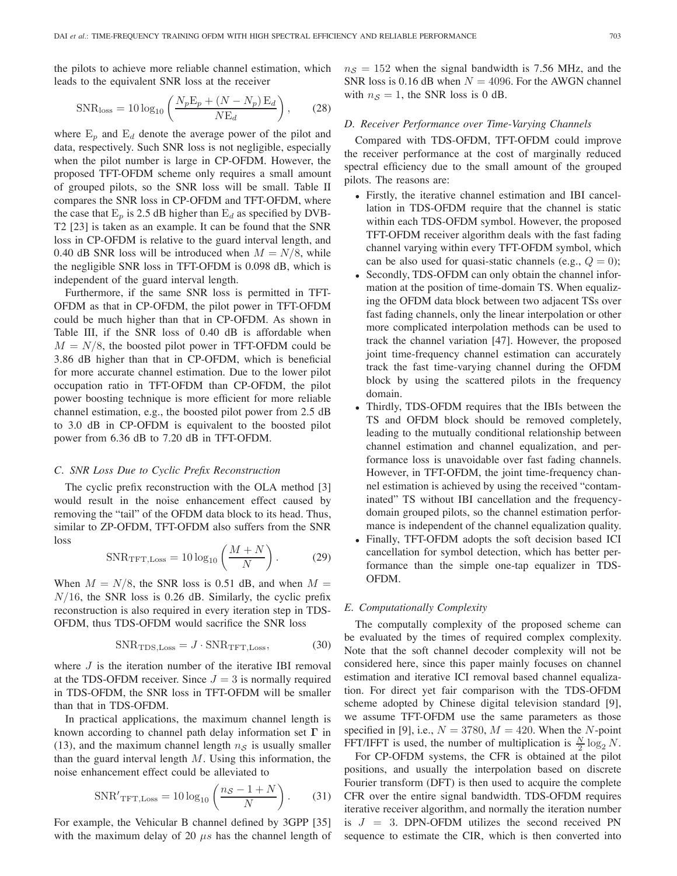the pilots to achieve more reliable channel estimation, which leads to the equivalent SNR loss at the receiver

$$
\text{SNR}_{\text{loss}} = 10 \log_{10} \left( \frac{N_p \mathbf{E}_p + (N - N_p) \mathbf{E}_d}{N \mathbf{E}_d} \right), \quad (28)
$$

where  $E_p$  and  $E_d$  denote the average power of the pilot and data, respectively. Such SNR loss is not negligible, especially when the pilot number is large in CP-OFDM. However, the proposed TFT-OFDM scheme only requires a small amount of grouped pilots, so the SNR loss will be small. Table II compares the SNR loss in CP-OFDM and TFT-OFDM, where the case that  $E_p$  is 2.5 dB higher than  $E_d$  as specified by DVB-T2 [23] is taken as an example. It can be found that the SNR loss in CP-OFDM is relative to the guard interval length, and 0.40 dB SNR loss will be introduced when  $M = N/8$ , while the negligible SNR loss in TFT-OFDM is 0.098 dB, which is independent of the guard interval length.

Furthermore, if the same SNR loss is permitted in TFT-OFDM as that in CP-OFDM, the pilot power in TFT-OFDM could be much higher than that in CP-OFDM. As shown in Table III, if the SNR loss of 0.40 dB is affordable when  $M = N/8$ , the boosted pilot power in TFT-OFDM could be 3.86 dB higher than that in CP-OFDM, which is beneficial for more accurate channel estimation. Due to the lower pilot occupation ratio in TFT-OFDM than CP-OFDM, the pilot power boosting technique is more efficient for more reliable channel estimation, e.g., the boosted pilot power from 2.5 dB to 3.0 dB in CP-OFDM is equivalent to the boosted pilot power from 6.36 dB to 7.20 dB in TFT-OFDM.

### *C. SNR Loss Due to Cyclic Prefix Reconstruction*

The cyclic prefix reconstruction with the OLA method [3] would result in the noise enhancement effect caused by removing the "tail" of the OFDM data block to its head. Thus, similar to ZP-OFDM, TFT-OFDM also suffers from the SNR loss

$$
SNR_{TFT, Loss} = 10 \log_{10} \left( \frac{M+N}{N} \right). \tag{29}
$$

When  $M = N/8$ , the SNR loss is 0.51 dB, and when  $M =$  $N/16$ , the SNR loss is 0.26 dB. Similarly, the cyclic prefix reconstruction is also required in every iteration step in TDS-OFDM, thus TDS-OFDM would sacrifice the SNR loss

$$
SNR_{TDS, Loss} = J \cdot SNR_{TFT, Loss},\tag{30}
$$

where  $J$  is the iteration number of the iterative IBI removal at the TDS-OFDM receiver. Since  $J = 3$  is normally required in TDS-OFDM, the SNR loss in TFT-OFDM will be smaller than that in TDS-OFDM.

In practical applications, the maximum channel length is known according to channel path delay information set **Γ** in (13), and the maximum channel length  $n<sub>S</sub>$  is usually smaller than the guard interval length  $M$ . Using this information, the noise enhancement effect could be alleviated to

$$
SNR'_{TFT, Loss} = 10 \log_{10} \left( \frac{n_S - 1 + N}{N} \right). \tag{31}
$$

For example, the Vehicular B channel defined by 3GPP [35] with the maximum delay of 20  $\mu s$  has the channel length of  $n<sub>S</sub> = 152$  when the signal bandwidth is 7.56 MHz, and the SNR loss is 0.16 dB when  $N = 4096$ . For the AWGN channel with  $n<sub>S</sub> = 1$ , the SNR loss is 0 dB.

## *D. Receiver Performance over Time-Varying Channels*

Compared with TDS-OFDM, TFT-OFDM could improve the receiver performance at the cost of marginally reduced spectral efficiency due to the small amount of the grouped pilots. The reasons are:

- Firstly, the iterative channel estimation and IBI cancellation in TDS-OFDM require that the channel is static within each TDS-OFDM symbol. However, the proposed TFT-OFDM receiver algorithm deals with the fast fading channel varying within every TFT-OFDM symbol, which can be also used for quasi-static channels (e.g.,  $Q = 0$ );
- Secondly, TDS-OFDM can only obtain the channel information at the position of time-domain TS. When equalizing the OFDM data block between two adjacent TSs over fast fading channels, only the linear interpolation or other more complicated interpolation methods can be used to track the channel variation [47]. However, the proposed joint time-frequency channel estimation can accurately track the fast time-varying channel during the OFDM block by using the scattered pilots in the frequency domain.
- Thirdly, TDS-OFDM requires that the IBIs between the TS and OFDM block should be removed completely, leading to the mutually conditional relationship between channel estimation and channel equalization, and performance loss is unavoidable over fast fading channels. However, in TFT-OFDM, the joint time-frequency channel estimation is achieved by using the received "contaminated" TS without IBI cancellation and the frequencydomain grouped pilots, so the channel estimation performance is independent of the channel equalization quality.
- Finally, TFT-OFDM adopts the soft decision based ICI cancellation for symbol detection, which has better performance than the simple one-tap equalizer in TDS-OFDM.

#### *E. Computationally Complexity*

The computally complexity of the proposed scheme can be evaluated by the times of required complex complexity. Note that the soft channel decoder complexity will not be considered here, since this paper mainly focuses on channel estimation and iterative ICI removal based channel equalization. For direct yet fair comparison with the TDS-OFDM scheme adopted by Chinese digital television standard [9], we assume TFT-OFDM use the same parameters as those specified in [9], i.e.,  $N = 3780$ ,  $M = 420$ . When the N-point FFT/IFFT is used, the number of multiplication is  $\frac{N}{2} \log_2 N$ .

For CP-OFDM systems, the CFR is obtained at the pilot positions, and usually the interpolation based on discrete Fourier transform (DFT) is then used to acquire the complete CFR over the entire signal bandwidth. TDS-OFDM requires iterative receiver algorithm, and normally the iteration number is  $J = 3$ . DPN-OFDM utilizes the second received PN sequence to estimate the CIR, which is then converted into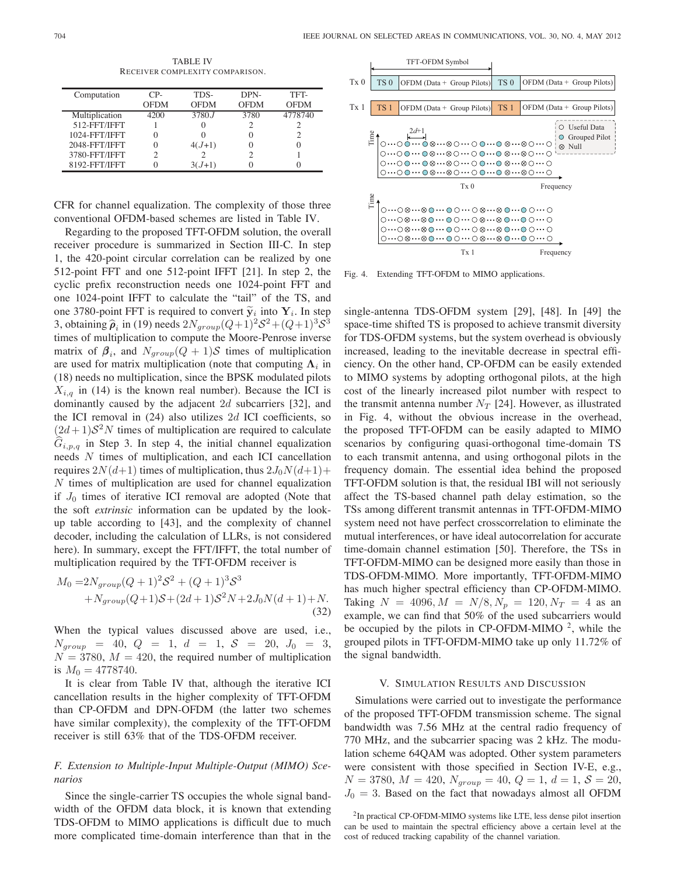TABLE IV RECEIVER COMPLEXITY COMPARISON.

| Computation    | CP-         | TDS-        | DPN-        | TFT-        |
|----------------|-------------|-------------|-------------|-------------|
|                | <b>OFDM</b> | <b>OFDM</b> | <b>OFDM</b> | <b>OFDM</b> |
| Multiplication | 4200        | 3780J       | 3780        | 4778740     |
| 512-FFT/IFFT   |             |             |             |             |
| 1024-FFT/IFFT  |             |             |             |             |
| 2048-FFT/IFFT  |             | $4(J+1)$    |             |             |
| 3780-FFT/IFFT  | 2           |             |             |             |
| 8192-FFT/IFFT  |             | $3(J+1)$    |             |             |

CFR for channel equalization. The complexity of those three conventional OFDM-based schemes are listed in Table IV.

Regarding to the proposed TFT-OFDM solution, the overall receiver procedure is summarized in Section III-C. In step 1, the 420-point circular correlation can be realized by one 512-point FFT and one 512-point IFFT [21]. In step 2, the cyclic prefix reconstruction needs one 1024-point FFT and one 1024-point IFFT to calculate the "tail" of the TS, and one 3780-point FFT is required to convert  $\widetilde{\mathbf{y}}_i$  into  $\mathbf{Y}_i$ . In step 3, obtaining  $\hat{\rho}_i$  in (19) needs  $2N_{group}(Q+1)^2\mathcal{S}^2+(Q+1)^3\mathcal{S}^3$ times of multiplication to compute the Moore-Penrose inverse matrix of  $\beta_i$ , and  $N_{group}(Q + 1)S$  times of multiplication are used for matrix multiplication (note that computing  $\Lambda_i$  in (18) needs no multiplication, since the BPSK modulated pilots  $X_{i,q}$  in (14) is the known real number). Because the ICI is dominantly caused by the adjacent  $2d$  subcarriers [32], and the ICI removal in  $(24)$  also utilizes  $2d$  ICI coefficients, so  $(2d+1)S^2N$  times of multiplication are required to calculate  $\hat{G}_{i,p,q}$  in Step 3. In step 4, the initial channel equalization needs N times of multiplication, and each ICI cancellation requires  $2N(d+1)$  times of multiplication, thus  $2J_0N(d+1)+$ N times of multiplication are used for channel equalization if  $J_0$  times of iterative ICI removal are adopted (Note that the soft *extrinsic* information can be updated by the lookup table according to [43], and the complexity of channel decoder, including the calculation of LLRs, is not considered here). In summary, except the FFT/IFFT, the total number of multiplication required by the TFT-OFDM receiver is

$$
M_0 = 2N_{group}(Q+1)^2S^2 + (Q+1)^3S^3
$$
  
+
$$
N_{group}(Q+1)S + (2d+1)S^2N + 2J_0N(d+1) + N.
$$
  
(32)

When the typical values discussed above are used, i.e.,  $N_{group}$  = 40,  $Q$  = 1,  $d$  = 1,  $S$  = 20,  $J_0$  = 3,  $N = 3780$ ,  $M = 420$ , the required number of multiplication is  $M_0 = 4778740$ .

It is clear from Table IV that, although the iterative ICI cancellation results in the higher complexity of TFT-OFDM than CP-OFDM and DPN-OFDM (the latter two schemes have similar complexity), the complexity of the TFT-OFDM receiver is still 63% that of the TDS-OFDM receiver.

# *F. Extension to Multiple-Input Multiple-Output (MIMO) Scenarios*

Since the single-carrier TS occupies the whole signal bandwidth of the OFDM data block, it is known that extending TDS-OFDM to MIMO applications is difficult due to much more complicated time-domain interference than that in the



Fig. 4. Extending TFT-OFDM to MIMO applications.

single-antenna TDS-OFDM system [29], [48]. In [49] the space-time shifted TS is proposed to achieve transmit diversity for TDS-OFDM systems, but the system overhead is obviously increased, leading to the inevitable decrease in spectral efficiency. On the other hand, CP-OFDM can be easily extended to MIMO systems by adopting orthogonal pilots, at the high cost of the linearly increased pilot number with respect to the transmit antenna number  $N_T$  [24]. However, as illustrated in Fig. 4, without the obvious increase in the overhead, the proposed TFT-OFDM can be easily adapted to MIMO scenarios by configuring quasi-orthogonal time-domain TS to each transmit antenna, and using orthogonal pilots in the frequency domain. The essential idea behind the proposed TFT-OFDM solution is that, the residual IBI will not seriously affect the TS-based channel path delay estimation, so the TSs among different transmit antennas in TFT-OFDM-MIMO system need not have perfect crosscorrelation to eliminate the mutual interferences, or have ideal autocorrelation for accurate time-domain channel estimation [50]. Therefore, the TSs in TFT-OFDM-MIMO can be designed more easily than those in TDS-OFDM-MIMO. More importantly, TFT-OFDM-MIMO has much higher spectral efficiency than CP-OFDM-MIMO. Taking  $N = 4096, M = N/8, N_p = 120, N_T = 4$  as an example, we can find that 50% of the used subcarriers would be occupied by the pilots in CP-OFDM-MIMO  $2$ , while the grouped pilots in TFT-OFDM-MIMO take up only 11.72% of the signal bandwidth.

#### V. SIMULATION RESULTS AND DISCUSSION

Simulations were carried out to investigate the performance of the proposed TFT-OFDM transmission scheme. The signal bandwidth was 7.56 MHz at the central radio frequency of 770 MHz, and the subcarrier spacing was 2 kHz. The modulation scheme 64QAM was adopted. Other system parameters were consistent with those specified in Section IV-E, e.g.,  $N = 3780, M = 420, N_{group} = 40, Q = 1, d = 1, S = 20,$  $J_0 = 3$ . Based on the fact that nowadays almost all OFDM

<sup>2</sup>In practical CP-OFDM-MIMO systems like LTE, less dense pilot insertion can be used to maintain the spectral efficiency above a certain level at the cost of reduced tracking capability of the channel variation.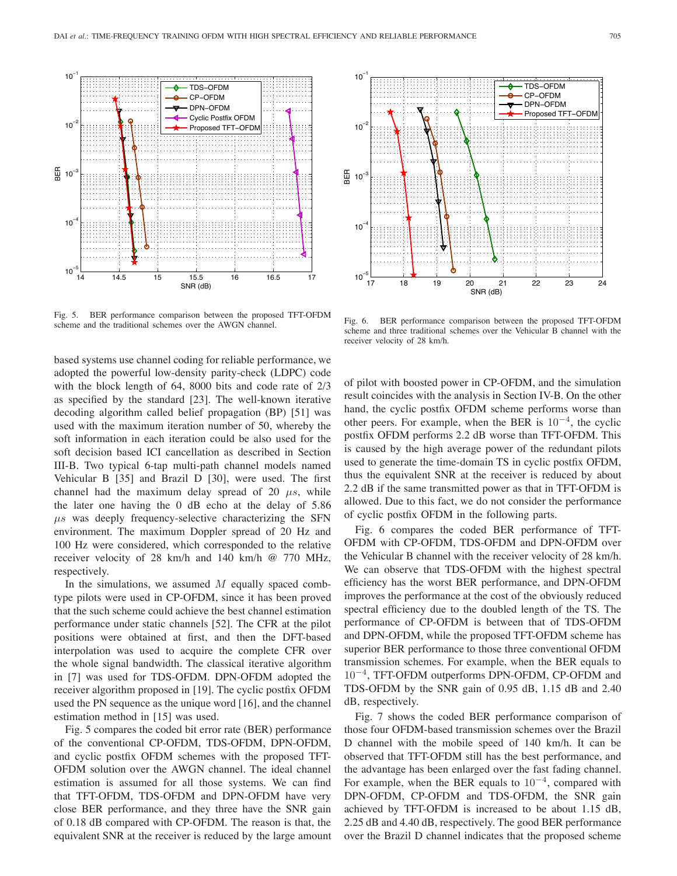

Fig. 5. BER performance comparison between the proposed TFT-OFDM scheme and the traditional schemes over the AWGN channel.

based systems use channel coding for reliable performance, we adopted the powerful low-density parity-check (LDPC) code with the block length of 64, 8000 bits and code rate of 2/3 as specified by the standard [23]. The well-known iterative decoding algorithm called belief propagation (BP) [51] was used with the maximum iteration number of 50, whereby the soft information in each iteration could be also used for the soft decision based ICI cancellation as described in Section III-B. Two typical 6-tap multi-path channel models named Vehicular B [35] and Brazil D [30], were used. The first channel had the maximum delay spread of 20  $\mu s$ , while the later one having the 0 dB echo at the delay of 5.86  $\mu$ s was deeply frequency-selective characterizing the SFN environment. The maximum Doppler spread of 20 Hz and 100 Hz were considered, which corresponded to the relative receiver velocity of 28 km/h and 140 km/h @ 770 MHz, respectively.

In the simulations, we assumed  $M$  equally spaced combtype pilots were used in CP-OFDM, since it has been proved that the such scheme could achieve the best channel estimation performance under static channels [52]. The CFR at the pilot positions were obtained at first, and then the DFT-based interpolation was used to acquire the complete CFR over the whole signal bandwidth. The classical iterative algorithm in [7] was used for TDS-OFDM. DPN-OFDM adopted the receiver algorithm proposed in [19]. The cyclic postfix OFDM used the PN sequence as the unique word [16], and the channel estimation method in [15] was used.

Fig. 5 compares the coded bit error rate (BER) performance of the conventional CP-OFDM, TDS-OFDM, DPN-OFDM, and cyclic postfix OFDM schemes with the proposed TFT-OFDM solution over the AWGN channel. The ideal channel estimation is assumed for all those systems. We can find that TFT-OFDM, TDS-OFDM and DPN-OFDM have very close BER performance, and they three have the SNR gain of 0.18 dB compared with CP-OFDM. The reason is that, the equivalent SNR at the receiver is reduced by the large amount



Fig. 6. BER performance comparison between the proposed TFT-OFDM scheme and three traditional schemes over the Vehicular B channel with the receiver velocity of 28 km/h.

of pilot with boosted power in CP-OFDM, and the simulation result coincides with the analysis in Section IV-B. On the other hand, the cyclic postfix OFDM scheme performs worse than other peers. For example, when the BER is  $10^{-4}$ , the cyclic postfix OFDM performs 2.2 dB worse than TFT-OFDM. This is caused by the high average power of the redundant pilots used to generate the time-domain TS in cyclic postfix OFDM, thus the equivalent SNR at the receiver is reduced by about 2.2 dB if the same transmitted power as that in TFT-OFDM is allowed. Due to this fact, we do not consider the performance of cyclic postfix OFDM in the following parts.

Fig. 6 compares the coded BER performance of TFT-OFDM with CP-OFDM, TDS-OFDM and DPN-OFDM over the Vehicular B channel with the receiver velocity of 28 km/h. We can observe that TDS-OFDM with the highest spectral efficiency has the worst BER performance, and DPN-OFDM improves the performance at the cost of the obviously reduced spectral efficiency due to the doubled length of the TS. The performance of CP-OFDM is between that of TDS-OFDM and DPN-OFDM, while the proposed TFT-OFDM scheme has superior BER performance to those three conventional OFDM transmission schemes. For example, when the BER equals to 10−<sup>4</sup>, TFT-OFDM outperforms DPN-OFDM, CP-OFDM and TDS-OFDM by the SNR gain of 0.95 dB, 1.15 dB and 2.40 dB, respectively.

Fig. 7 shows the coded BER performance comparison of those four OFDM-based transmission schemes over the Brazil D channel with the mobile speed of 140 km/h. It can be observed that TFT-OFDM still has the best performance, and the advantage has been enlarged over the fast fading channel. For example, when the BER equals to  $10^{-4}$ , compared with DPN-OFDM, CP-OFDM and TDS-OFDM, the SNR gain achieved by TFT-OFDM is increased to be about 1.15 dB, 2.25 dB and 4.40 dB, respectively. The good BER performance over the Brazil D channel indicates that the proposed scheme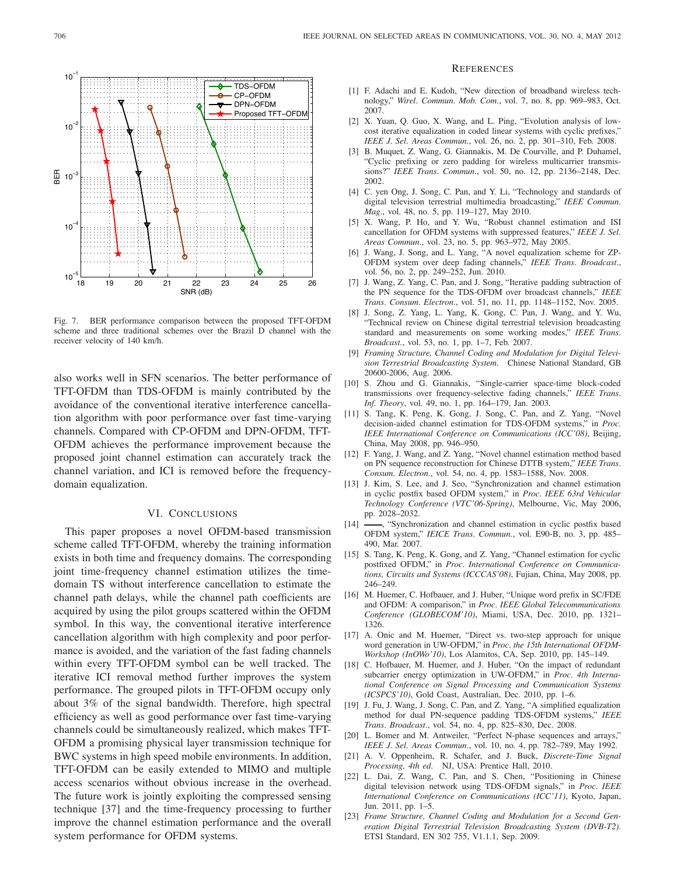

Fig. 7. BER performance comparison between the proposed TFT-OFDM scheme and three traditional schemes over the Brazil D channel with the receiver velocity of 140 km/h.

also works well in SFN scenarios. The better performance of TFT-OFDM than TDS-OFDM is mainly contributed by the avoidance of the conventional iterative interference cancellation algorithm with poor performance over fast time-varying channels. Compared with CP-OFDM and DPN-OFDM, TFT-OFDM achieves the performance improvement because the proposed joint channel estimation can accurately track the channel variation, and ICI is removed before the frequencydomain equalization.

## VI. CONCLUSIONS

This paper proposes a novel OFDM-based transmission scheme called TFT-OFDM, whereby the training information exists in both time and frequency domains. The corresponding joint time-frequency channel estimation utilizes the timedomain TS without interference cancellation to estimate the channel path delays, while the channel path coefficients are acquired by using the pilot groups scattered within the OFDM symbol. In this way, the conventional iterative interference cancellation algorithm with high complexity and poor performance is avoided, and the variation of the fast fading channels within every TFT-OFDM symbol can be well tracked. The iterative ICI removal method further improves the system performance. The grouped pilots in TFT-OFDM occupy only about 3% of the signal bandwidth. Therefore, high spectral efficiency as well as good performance over fast time-varying channels could be simultaneously realized, which makes TFT-OFDM a promising physical layer transmission technique for BWC systems in high speed mobile environments. In addition, TFT-OFDM can be easily extended to MIMO and multiple access scenarios without obvious increase in the overhead. The future work is jointly exploiting the compressed sensing technique [37] and the time-frequency processing to further improve the channel estimation performance and the overall system performance for OFDM systems.

#### **REFERENCES**

- [1] F. Adachi and E. Kudoh, "New direction of broadband wireless technology," *Wirel. Commun. Mob. Com.*, vol. 7, no. 8, pp. 969–983, Oct. 2007.
- [2] X. Yuan, Q. Guo, X. Wang, and L. Ping, "Evolution analysis of lowcost iterative equalization in coded linear systems with cyclic prefixes," *IEEE J. Sel. Areas Commun.*, vol. 26, no. 2, pp. 301–310, Feb. 2008.
- [3] B. Muquet, Z. Wang, G. Giannakis, M. De Courville, and P. Duhamel, "Cyclic prefixing or zero padding for wireless multicarrier transmissions?" IEEE Trans. Commun.. vol. 50, no. 12, pp. 2136-2148. Dec. *IEEE Trans. Commun.*, vol. 50, no. 12, pp. 2136–2148, Dec. 2002.
- [4] C. yen Ong, J. Song, C. Pan, and Y. Li, "Technology and standards of digital television terrestrial multimedia broadcasting," *IEEE Commun. Mag.*, vol. 48, no. 5, pp. 119–127, May 2010.
- [5] X. Wang, P. Ho, and Y. Wu, "Robust channel estimation and ISI cancellation for OFDM systems with suppressed features," *IEEE J. Sel. Areas Commun.*, vol. 23, no. 5, pp. 963–972, May 2005.
- [6] J. Wang, J. Song, and L. Yang, "A novel equalization scheme for ZP-OFDM system over deep fading channels," *IEEE Trans. Broadcast.*, vol. 56, no. 2, pp. 249–252, Jun. 2010.
- [7] J. Wang, Z. Yang, C. Pan, and J. Song, "Iterative padding subtraction of the PN sequence for the TDS-OFDM over broadcast channels," *IEEE Trans. Consum. Electron.*, vol. 51, no. 11, pp. 1148–1152, Nov. 2005.
- [8] J. Song, Z. Yang, L. Yang, K. Gong, C. Pan, J. Wang, and Y. Wu, "Technical review on Chinese digital terrestrial television broadcasting standard and measurements on some working modes," *IEEE Trans. Broadcast.*, vol. 53, no. 1, pp. 1–7, Feb. 2007.
- [9] *Framing Structure, Channel Coding and Modulation for Digital Television Terrestrial Broadcasting System*. Chinese National Standard, GB 20600-2006, Aug. 2006.
- [10] S. Zhou and G. Giannakis, "Single-carrier space-time block-coded transmissions over frequency-selective fading channels," *IEEE Trans. Inf. Theory*, vol. 49, no. 1, pp. 164–179, Jan. 2003.
- [11] S. Tang, K. Peng, K. Gong, J. Song, C. Pan, and Z. Yang, "Novel decision-aided channel estimation for TDS-OFDM systems," in *Proc. IEEE International Conference on Communications (ICC'08)*, Beijing, China, May 2008, pp. 946–950.
- [12] F. Yang, J. Wang, and Z. Yang, "Novel channel estimation method based on PN sequence reconstruction for Chinese DTTB system," *IEEE Trans. Consum. Electron.*, vol. 54, no. 4, pp. 1583–1588, Nov. 2008.
- [13] J. Kim, S. Lee, and J. Seo, "Synchronization and channel estimation in cyclic postfix based OFDM system," in *Proc. IEEE 63rd Vehicular Technology Conference (VTC'06-Spring)*, Melbourne, Vic, May 2006, pp. 2028–2032.
- [14] -, "Synchronization and channel estimation in cyclic postfix based OFDM system," *IEICE Trans. Commun.*, vol. E90-B, no. 3, pp. 485– 490, Mar. 2007.
- [15] S. Tang, K. Peng, K. Gong, and Z. Yang, "Channel estimation for cyclic postfixed OFDM," in *Proc. International Conference on Communications, Circuits and Systems (ICCCAS'08)*, Fujian, China, May 2008, pp. 246–249.
- [16] M. Huemer, C. Hofbauer, and J. Huber, "Unique word prefix in SC/FDE and OFDM: A comparison," in *Proc. IEEE Global Telecommunications Conference (GLOBECOM'10)*, Miami, USA, Dec. 2010, pp. 1321– 1326.
- [17] A. Onic and M. Huemer, "Direct vs. two-step approach for unique word generation in UW-OFDM," in *Proc. the 15th International OFDM-Workshop (InOWo'10)*, Los Alamitos, CA, Sep. 2010, pp. 145–149.
- [18] C. Hofbauer, M. Huemer, and J. Huber, "On the impact of redundant subcarrier energy optimization in UW-OFDM," in *Proc. 4th International Conference on Signal Processing and Communication Systems (ICSPCS'10)*, Gold Coast, Australian, Dec. 2010, pp. 1–6.
- [19] J. Fu, J. Wang, J. Song, C. Pan, and Z. Yang, "A simplified equalization method for dual PN-sequence padding TDS-OFDM systems," *IEEE Trans. Broadcast.*, vol. 54, no. 4, pp. 825–830, Dec. 2008.
- [20] L. Bomer and M. Antweiler, "Perfect N-phase sequences and arrays," *IEEE J. Sel. Areas Commun.*, vol. 10, no. 4, pp. 782–789, May 1992.
- [21] A. V. Oppenheim, R. Schafer, and J. Buck, *Discrete-Time Signal Processing, 4th ed.* NJ, USA: Prentice Hall, 2010.
- [22] L. Dai, Z. Wang, C. Pan, and S. Chen, "Positioning in Chinese digital television network using TDS-OFDM signals," in *Proc. IEEE International Conference on Communications (ICC'11)*, Kyoto, Japan, Jun. 2011, pp. 1–5.
- [23] *Frame Structure, Channel Coding and Modulation for a Second Generation Digital Terrestrial Television Broadcasting System (DVB-T2)*. ETSI Standard, EN 302 755, V1.1.1, Sep. 2009.